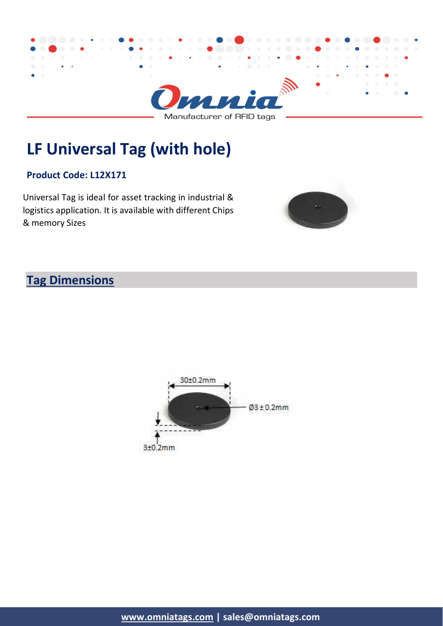

**LF Universal Tag (with hole)**

## **Product Code: L12X171**

Universal Tag is ideal for asset tracking in industrial & logistics application. It is available with different Chips & memory Sizes



## **Tag Dimensions**

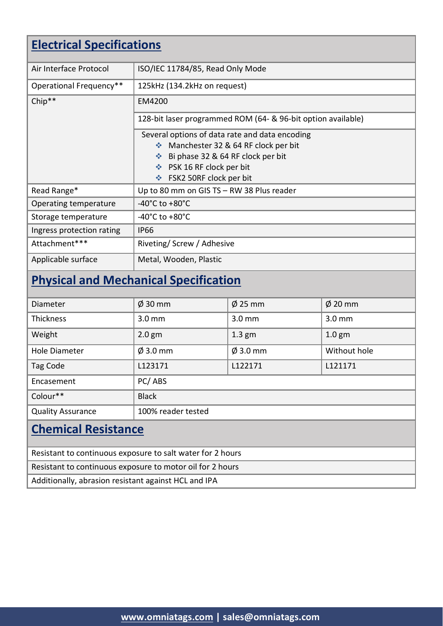| <b>Electrical Specifications</b>                           |                                                                                                                                                 |                                     |                   |  |
|------------------------------------------------------------|-------------------------------------------------------------------------------------------------------------------------------------------------|-------------------------------------|-------------------|--|
| Air Interface Protocol                                     | ISO/IEC 11784/85, Read Only Mode                                                                                                                |                                     |                   |  |
| Operational Frequency**                                    | 125kHz (134.2kHz on request)                                                                                                                    |                                     |                   |  |
| Chip**                                                     | EM4200                                                                                                                                          |                                     |                   |  |
|                                                            | 128-bit laser programmed ROM (64- & 96-bit option available)                                                                                    |                                     |                   |  |
|                                                            | Several options of data rate and data encoding<br>❖ Bi phase 32 & 64 RF clock per bit<br>❖ PSK 16 RF clock per bit<br>❖ FSK2 50RF clock per bit | Manchester 32 & 64 RF clock per bit |                   |  |
| Read Range*                                                | Up to 80 mm on GIS TS - RW 38 Plus reader                                                                                                       |                                     |                   |  |
| Operating temperature                                      | -40 $^{\circ}$ C to +80 $^{\circ}$ C                                                                                                            |                                     |                   |  |
| Storage temperature                                        | -40 $^{\circ}$ C to +80 $^{\circ}$ C                                                                                                            |                                     |                   |  |
| Ingress protection rating                                  | <b>IP66</b>                                                                                                                                     |                                     |                   |  |
| Attachment***                                              |                                                                                                                                                 | Riveting/ Screw / Adhesive          |                   |  |
| Applicable surface                                         | Metal, Wooden, Plastic                                                                                                                          |                                     |                   |  |
| <b>Physical and Mechanical Specification</b>               |                                                                                                                                                 |                                     |                   |  |
| Diameter                                                   | $\varnothing$ 30 mm                                                                                                                             | $\varnothing$ 25 mm                 | $\phi$ 20 mm      |  |
| <b>Thickness</b>                                           | 3.0 <sub>mm</sub>                                                                                                                               | 3.0 <sub>mm</sub>                   | 3.0 <sub>mm</sub> |  |
| Weight                                                     | 2.0 <sub>gm</sub>                                                                                                                               | 1.3 <sub>gm</sub>                   | 1.0 <sub>gm</sub> |  |
| <b>Hole Diameter</b>                                       | $\varnothing$ 3.0 mm                                                                                                                            | $\varnothing$ 3.0 mm                | Without hole      |  |
| Tag Code                                                   | L123171                                                                                                                                         | L122171                             | L121171           |  |
| Encasement                                                 | PC/ABS                                                                                                                                          |                                     |                   |  |
| Colour**                                                   | <b>Black</b>                                                                                                                                    |                                     |                   |  |
| <b>Quality Assurance</b>                                   | 100% reader tested                                                                                                                              |                                     |                   |  |
| <b>Chemical Resistance</b>                                 |                                                                                                                                                 |                                     |                   |  |
| Resistant to continuous exposure to salt water for 2 hours |                                                                                                                                                 |                                     |                   |  |
|                                                            |                                                                                                                                                 |                                     |                   |  |

Resistant to continuous exposure to motor oil for 2 hours

Additionally, abrasion resistant against HCL and IPA